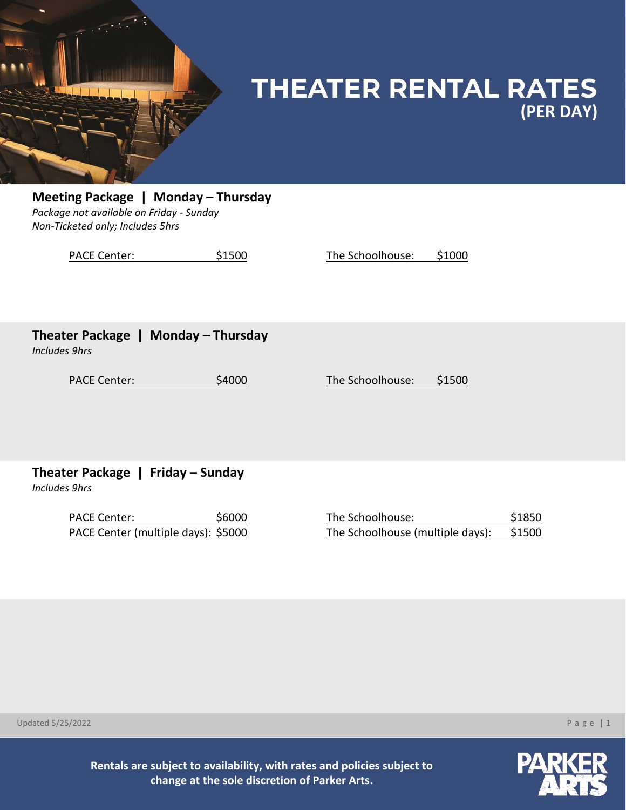

## **THEATER RENTAL RATES (PER DAY)**

**Meeting Package | Monday - Thursday** *Package not available on Friday - Sunday Non-Ticketed only; Includes 5hrs*

PACE Center:  $$1500$  The Schoolhouse: \$1000

### **Theater Package | Monday – Thursday**

*Includes 9hrs*

PACE Center:  $$4000$  The Schoolhouse: \$1500

**Theater Package | Friday – Sunday**

*Includes 9hrs*

PACE Center: \$6000 The Schoolhouse: \$1850 PACE Center (multiple days): \$5000

| The Schoolhouse: '               | \$1850 |
|----------------------------------|--------|
| The Schoolhouse (multiple days): | \$1500 |

Updated 5/25/2022 P a g e | 1



**Rentals are subject to availability, with rates and policies subject to change at the sole discretion of Parker Arts.**